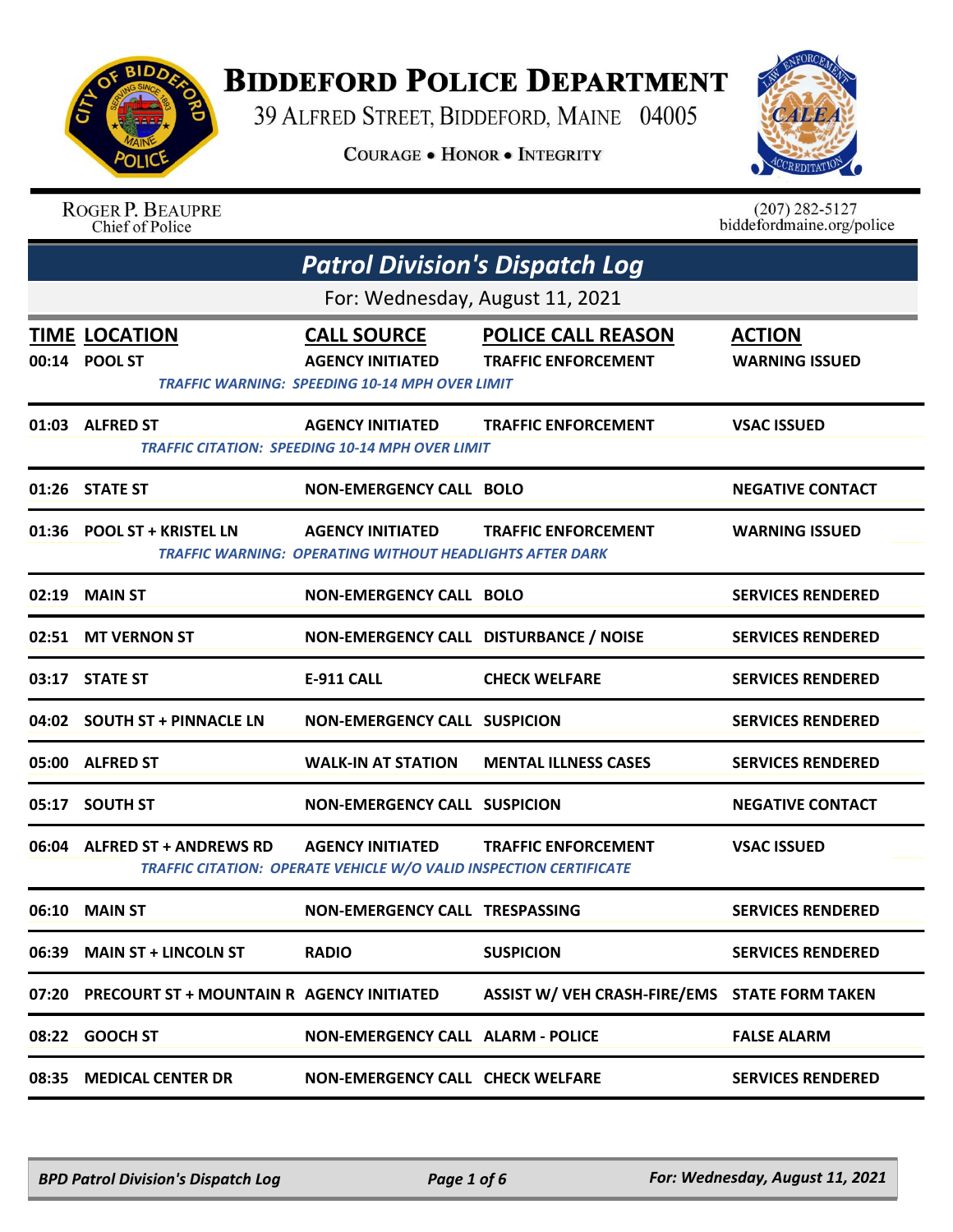

## **BIDDEFORD POLICE DEPARTMENT**

39 ALFRED STREET, BIDDEFORD, MAINE 04005

**COURAGE . HONOR . INTEGRITY** 



|       | <b>ROGER P. BEAUPRE</b><br>Chief of Police      |                                                                                                        |                                                         | $(207)$ 282-5127<br>biddefordmaine.org/police |  |  |
|-------|-------------------------------------------------|--------------------------------------------------------------------------------------------------------|---------------------------------------------------------|-----------------------------------------------|--|--|
|       |                                                 | <b>Patrol Division's Dispatch Log</b>                                                                  |                                                         |                                               |  |  |
|       | For: Wednesday, August 11, 2021                 |                                                                                                        |                                                         |                                               |  |  |
|       | <b>TIME LOCATION</b><br>00:14 POOL ST           | <b>CALL SOURCE</b><br><b>AGENCY INITIATED</b><br><b>TRAFFIC WARNING: SPEEDING 10-14 MPH OVER LIMIT</b> | <b>POLICE CALL REASON</b><br><b>TRAFFIC ENFORCEMENT</b> | <b>ACTION</b><br><b>WARNING ISSUED</b>        |  |  |
|       | 01:03 ALFRED ST                                 | <b>AGENCY INITIATED</b><br><b>TRAFFIC CITATION: SPEEDING 10-14 MPH OVER LIMIT</b>                      | <b>TRAFFIC ENFORCEMENT</b>                              | <b>VSAC ISSUED</b>                            |  |  |
|       | 01:26 STATE ST                                  | <b>NON-EMERGENCY CALL BOLO</b>                                                                         |                                                         | <b>NEGATIVE CONTACT</b>                       |  |  |
|       | 01:36 POOL ST + KRISTEL LN                      | <b>AGENCY INITIATED</b><br><b>TRAFFIC WARNING: OPERATING WITHOUT HEADLIGHTS AFTER DARK</b>             | <b>TRAFFIC ENFORCEMENT</b>                              | <b>WARNING ISSUED</b>                         |  |  |
| 02:19 | <b>MAIN ST</b>                                  | <b>NON-EMERGENCY CALL BOLO</b>                                                                         |                                                         | <b>SERVICES RENDERED</b>                      |  |  |
|       | 02:51 MT VERNON ST                              | NON-EMERGENCY CALL DISTURBANCE / NOISE                                                                 |                                                         | <b>SERVICES RENDERED</b>                      |  |  |
|       | 03:17 STATE ST                                  | <b>E-911 CALL</b>                                                                                      | <b>CHECK WELFARE</b>                                    | <b>SERVICES RENDERED</b>                      |  |  |
|       | 04:02 SOUTH ST + PINNACLE LN                    | <b>NON-EMERGENCY CALL SUSPICION</b>                                                                    |                                                         | <b>SERVICES RENDERED</b>                      |  |  |
| 05:00 | <b>ALFRED ST</b>                                | <b>WALK-IN AT STATION</b>                                                                              | <b>MENTAL ILLNESS CASES</b>                             | <b>SERVICES RENDERED</b>                      |  |  |
| 05:17 | <b>SOUTH ST</b>                                 | <b>NON-EMERGENCY CALL SUSPICION</b>                                                                    |                                                         | <b>NEGATIVE CONTACT</b>                       |  |  |
|       | 06:04 ALFRED ST + ANDREWS RD                    | <b>AGENCY INITIATED</b><br>TRAFFIC CITATION: OPERATE VEHICLE W/O VALID INSPECTION CERTIFICATE          | <b>TRAFFIC ENFORCEMENT</b>                              | <b>VSAC ISSUED</b>                            |  |  |
|       | 06:10 MAIN ST                                   | <b>NON-EMERGENCY CALL TRESPASSING</b>                                                                  |                                                         | <b>SERVICES RENDERED</b>                      |  |  |
|       | 06:39 MAIN ST + LINCOLN ST                      | <b>RADIO</b>                                                                                           | <b>SUSPICION</b>                                        | <b>SERVICES RENDERED</b>                      |  |  |
|       | 07:20 PRECOURT ST + MOUNTAIN R AGENCY INITIATED |                                                                                                        | ASSIST W/ VEH CRASH-FIRE/EMS STATE FORM TAKEN           |                                               |  |  |
|       | 08:22 GOOCH ST                                  | <b>NON-EMERGENCY CALL ALARM - POLICE</b>                                                               |                                                         | <b>FALSE ALARM</b>                            |  |  |
|       | 08:35 MEDICAL CENTER DR                         | <b>NON-EMERGENCY CALL CHECK WELFARE</b>                                                                |                                                         | <b>SERVICES RENDERED</b>                      |  |  |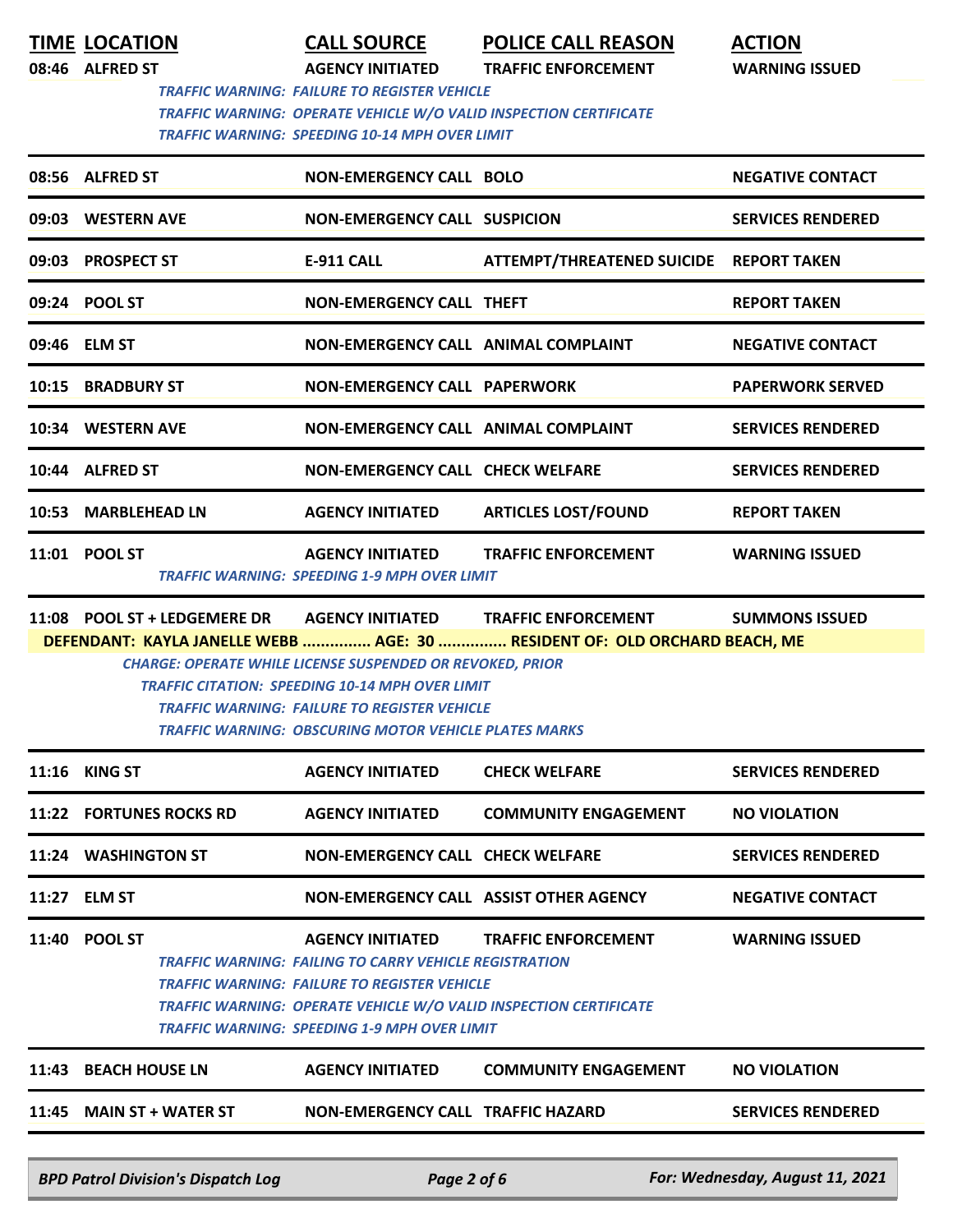**TIME LOCATION CALL SOURCE POLICE CALL REASON ACTION**

**08:46 ALFRED ST AGENCY INITIATED TRAFFIC ENFORCEMENT WARNING ISSUED**

 *TRAFFIC WARNING: FAILURE TO REGISTER VEHICLE TRAFFIC WARNING: OPERATE VEHICLE W/O VALID INSPECTION CERTIFICATE TRAFFIC WARNING: SPEEDING 10-14 MPH OVER LIMIT* 

| 08:56 ALFRED ST     | NON-EMERGENCY CALL BOLO                                                        |                                         | <b>NEGATIVE CONTACT</b>  |  |  |
|---------------------|--------------------------------------------------------------------------------|-----------------------------------------|--------------------------|--|--|
| 09:03 WESTERN AVE   | <b>NON-EMERGENCY CALL SUSPICION</b>                                            |                                         | <b>SERVICES RENDERED</b> |  |  |
| 09:03 PROSPECT ST   | <b>E-911 CALL</b>                                                              | ATTEMPT/THREATENED SUICIDE REPORT TAKEN |                          |  |  |
| 09:24 POOL ST       | NON-EMERGENCY CALL THEFT                                                       |                                         | <b>REPORT TAKEN</b>      |  |  |
| 09:46 ELM ST        | NON-EMERGENCY CALL ANIMAL COMPLAINT                                            |                                         | <b>NEGATIVE CONTACT</b>  |  |  |
| 10:15 BRADBURY ST   | NON-EMERGENCY CALL PAPERWORK                                                   |                                         | <b>PAPERWORK SERVED</b>  |  |  |
| 10:34 WESTERN AVE   | NON-EMERGENCY CALL ANIMAL COMPLAINT                                            |                                         | <b>SERVICES RENDERED</b> |  |  |
| 10:44 ALFRED ST     | NON-EMERGENCY CALL CHECK WELFARE                                               |                                         | <b>SERVICES RENDERED</b> |  |  |
| 10:53 MARBLEHEAD LN | AGENCY INITIATED                                                               | <b>ARTICLES LOST/FOUND</b>              | <b>REPORT TAKEN</b>      |  |  |
| 11:01 POOL ST       | <b>AGENCY INITIATED</b><br><b>TRAFFIC WARNING: SPEEDING 1-9 MPH OVER LIMIT</b> | <b>TRAFFIC ENFORCEMENT</b>              | <b>WARNING ISSUED</b>    |  |  |
|                     |                                                                                |                                         |                          |  |  |

**11:08 POOL ST + LEDGEMERE DR AGENCY INITIATED TRAFFIC ENFORCEMENT SUMMONS ISSUED DEFENDANT: KAYLA JANELLE WEBB ............... AGE: 30 ............... RESIDENT OF: OLD ORCHARD BEACH, ME**

*CHARGE: OPERATE WHILE LICENSE SUSPENDED OR REVOKED, PRIOR TRAFFIC CITATION: SPEEDING 10-14 MPH OVER LIMIT TRAFFIC WARNING: FAILURE TO REGISTER VEHICLE TRAFFIC WARNING: OBSCURING MOTOR VEHICLE PLATES MARKS* 

|       | <b>11:16 KING ST</b>                      | <b>AGENCY INITIATED</b>                                                                                                                                                                                                                                                            | <b>CHECK WELFARE</b>                   | <b>SERVICES RENDERED</b>        |
|-------|-------------------------------------------|------------------------------------------------------------------------------------------------------------------------------------------------------------------------------------------------------------------------------------------------------------------------------------|----------------------------------------|---------------------------------|
|       | 11:22 FORTUNES ROCKS RD                   | <b>AGENCY INITIATED</b>                                                                                                                                                                                                                                                            | <b>COMMUNITY ENGAGEMENT</b>            | <b>NO VIOLATION</b>             |
|       | 11:24 WASHINGTON ST                       | <b>NON-EMERGENCY CALL CHECK WELFARE</b>                                                                                                                                                                                                                                            |                                        | <b>SERVICES RENDERED</b>        |
|       | 11:27 ELM ST                              |                                                                                                                                                                                                                                                                                    | NON-EMERGENCY CALL ASSIST OTHER AGENCY | <b>NEGATIVE CONTACT</b>         |
|       | 11:40 POOL ST                             | <b>AGENCY INITIATED</b><br><b>TRAFFIC WARNING: FAILING TO CARRY VEHICLE REGISTRATION</b><br><b>TRAFFIC WARNING: FAILURE TO REGISTER VEHICLE</b><br><b>TRAFFIC WARNING: OPERATE VEHICLE W/O VALID INSPECTION CERTIFICATE</b><br><b>TRAFFIC WARNING: SPEEDING 1-9 MPH OVER LIMIT</b> | <b>TRAFFIC ENFORCEMENT</b>             | <b>WARNING ISSUED</b>           |
| 11:43 | <b>BEACH HOUSE LN</b>                     | <b>AGENCY INITIATED</b>                                                                                                                                                                                                                                                            | <b>COMMUNITY ENGAGEMENT</b>            | <b>NO VIOLATION</b>             |
|       | 11:45 MAIN ST + WATER ST                  | NON-EMERGENCY CALL TRAFFIC HAZARD                                                                                                                                                                                                                                                  |                                        | <b>SERVICES RENDERED</b>        |
|       | <b>BPD Patrol Division's Dispatch Log</b> | Page 2 of 6                                                                                                                                                                                                                                                                        |                                        | For: Wednesday, August 11, 2021 |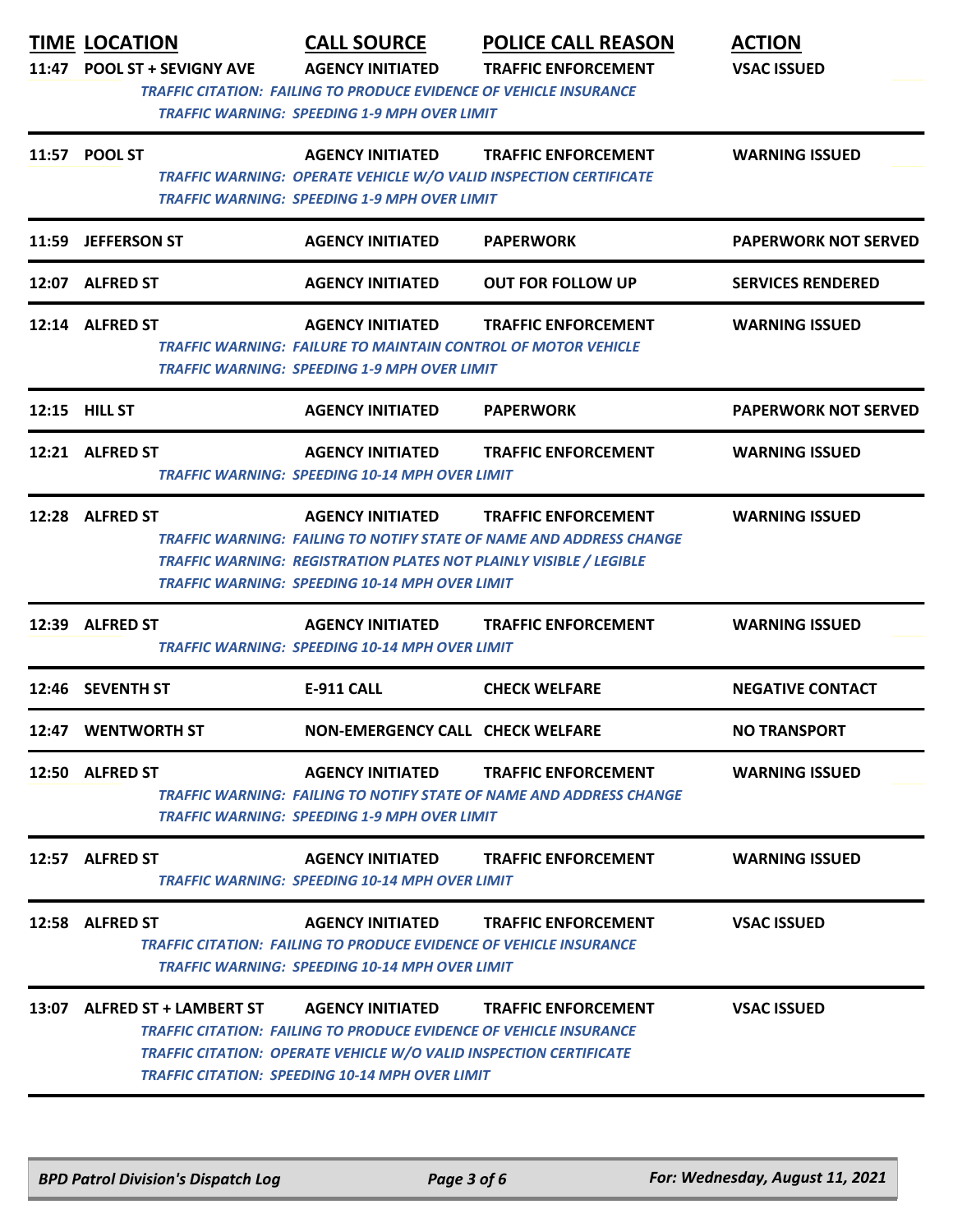| 11:47 | <b>TIME LOCATION</b><br><b>POOL ST + SEVIGNY AVE</b> | <b>CALL SOURCE</b><br><b>AGENCY INITIATED</b><br>TRAFFIC CITATION: FAILING TO PRODUCE EVIDENCE OF VEHICLE INSURANCE                                                                                                                  | <b>POLICE CALL REASON</b><br><b>TRAFFIC ENFORCEMENT</b>                                           | <b>ACTION</b><br><b>VSAC ISSUED</b> |
|-------|------------------------------------------------------|--------------------------------------------------------------------------------------------------------------------------------------------------------------------------------------------------------------------------------------|---------------------------------------------------------------------------------------------------|-------------------------------------|
|       | 11:57 POOL ST                                        | TRAFFIC WARNING: SPEEDING 1-9 MPH OVER LIMIT<br><b>AGENCY INITIATED</b><br>TRAFFIC WARNING: OPERATE VEHICLE W/O VALID INSPECTION CERTIFICATE<br>TRAFFIC WARNING: SPEEDING 1-9 MPH OVER LIMIT                                         | <b>TRAFFIC ENFORCEMENT</b>                                                                        | <b>WARNING ISSUED</b>               |
|       | 11:59 JEFFERSON ST                                   | <b>AGENCY INITIATED</b>                                                                                                                                                                                                              | <b>PAPERWORK</b>                                                                                  | <b>PAPERWORK NOT SERVED</b>         |
|       | 12:07 ALFRED ST                                      | <b>AGENCY INITIATED</b>                                                                                                                                                                                                              | <b>OUT FOR FOLLOW UP</b>                                                                          | <b>SERVICES RENDERED</b>            |
|       | 12:14 ALFRED ST                                      | <b>AGENCY INITIATED</b><br><b>TRAFFIC WARNING: FAILURE TO MAINTAIN CONTROL OF MOTOR VEHICLE</b><br><b>TRAFFIC WARNING: SPEEDING 1-9 MPH OVER LIMIT</b>                                                                               | <b>TRAFFIC ENFORCEMENT</b>                                                                        | <b>WARNING ISSUED</b>               |
|       | 12:15 HILL ST                                        | <b>AGENCY INITIATED</b>                                                                                                                                                                                                              | <b>PAPERWORK</b>                                                                                  | <b>PAPERWORK NOT SERVED</b>         |
|       | 12:21 ALFRED ST                                      | <b>AGENCY INITIATED</b><br>TRAFFIC WARNING: SPEEDING 10-14 MPH OVER LIMIT                                                                                                                                                            | <b>TRAFFIC ENFORCEMENT</b>                                                                        | <b>WARNING ISSUED</b>               |
|       | 12:28 ALFRED ST                                      | <b>AGENCY INITIATED</b><br><b>TRAFFIC WARNING: REGISTRATION PLATES NOT PLAINLY VISIBLE / LEGIBLE</b><br>TRAFFIC WARNING: SPEEDING 10-14 MPH OVER LIMIT                                                                               | <b>TRAFFIC ENFORCEMENT</b><br>TRAFFIC WARNING: FAILING TO NOTIFY STATE OF NAME AND ADDRESS CHANGE | <b>WARNING ISSUED</b>               |
|       | 12:39 ALFRED ST                                      | <b>AGENCY INITIATED</b><br><b>TRAFFIC WARNING: SPEEDING 10-14 MPH OVER LIMIT</b>                                                                                                                                                     | <b>TRAFFIC ENFORCEMENT</b>                                                                        | <b>WARNING ISSUED</b>               |
|       | 12:46 SEVENTH ST                                     | <b>E-911 CALL</b>                                                                                                                                                                                                                    | <b>CHECK WELFARE</b>                                                                              | <b>NEGATIVE CONTACT</b>             |
|       | 12:47 WENTWORTH ST                                   | NON-EMERGENCY CALL CHECK WELFARE                                                                                                                                                                                                     |                                                                                                   | <b>NO TRANSPORT</b>                 |
|       | 12:50 ALFRED ST                                      | <b>AGENCY INITIATED</b><br>TRAFFIC WARNING: SPEEDING 1-9 MPH OVER LIMIT                                                                                                                                                              | <b>TRAFFIC ENFORCEMENT</b><br>TRAFFIC WARNING: FAILING TO NOTIFY STATE OF NAME AND ADDRESS CHANGE | <b>WARNING ISSUED</b>               |
|       | 12:57 ALFRED ST                                      | <b>AGENCY INITIATED</b><br>TRAFFIC WARNING: SPEEDING 10-14 MPH OVER LIMIT                                                                                                                                                            | <b>TRAFFIC ENFORCEMENT</b>                                                                        | <b>WARNING ISSUED</b>               |
|       | 12:58 ALFRED ST                                      | <b>AGENCY INITIATED</b><br>TRAFFIC CITATION: FAILING TO PRODUCE EVIDENCE OF VEHICLE INSURANCE<br>TRAFFIC WARNING: SPEEDING 10-14 MPH OVER LIMIT                                                                                      | <b>TRAFFIC ENFORCEMENT</b>                                                                        | <b>VSAC ISSUED</b>                  |
|       | 13:07 ALFRED ST + LAMBERT ST                         | <b>AGENCY INITIATED</b><br>TRAFFIC CITATION: FAILING TO PRODUCE EVIDENCE OF VEHICLE INSURANCE<br><b>TRAFFIC CITATION: OPERATE VEHICLE W/O VALID INSPECTION CERTIFICATE</b><br><b>TRAFFIC CITATION: SPEEDING 10-14 MPH OVER LIMIT</b> | <b>TRAFFIC ENFORCEMENT</b>                                                                        | <b>VSAC ISSUED</b>                  |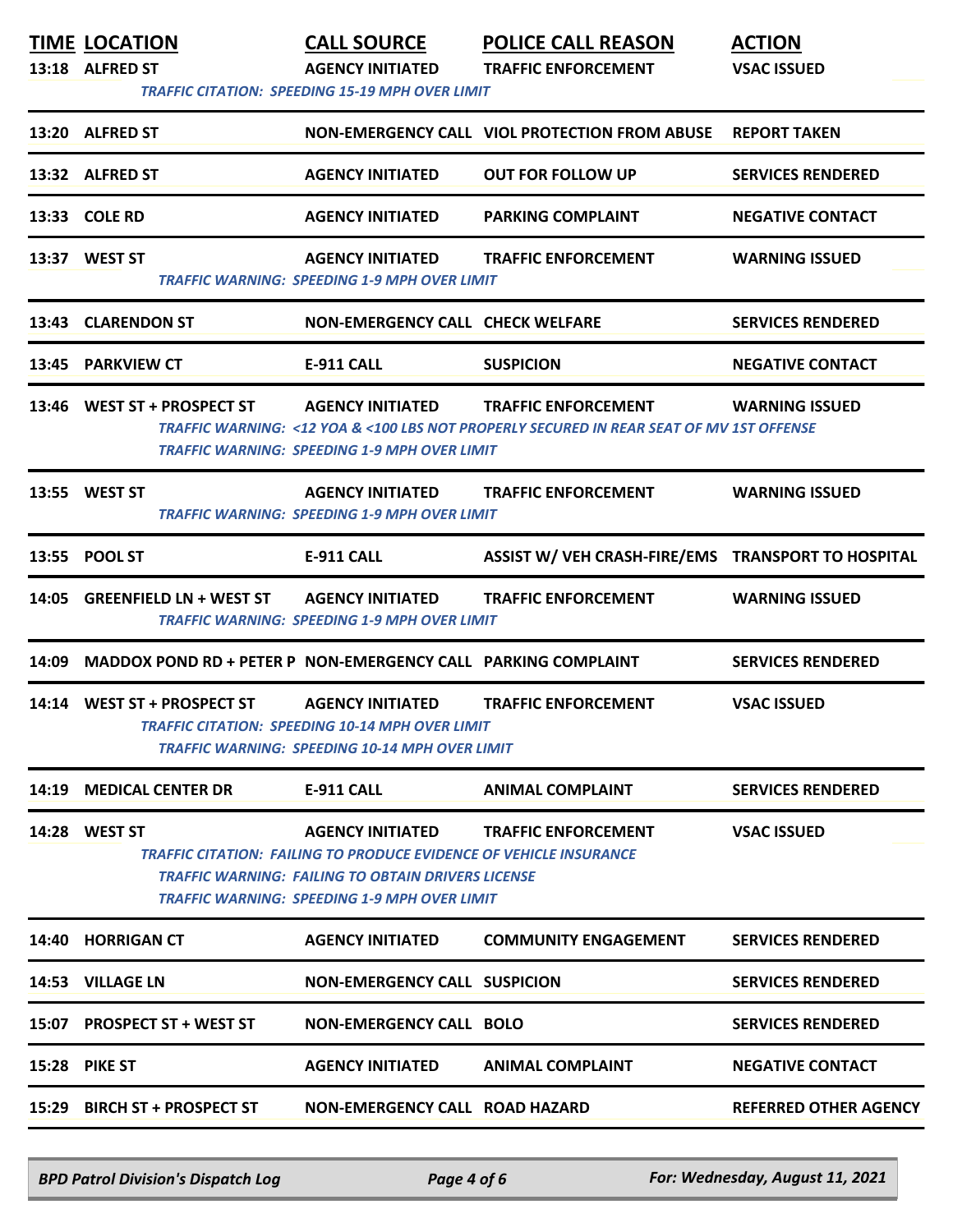|       | <b>TIME LOCATION</b>                                          | <b>CALL SOURCE</b>                                                                                                                                                                                                | <b>POLICE CALL REASON</b>                                                                                             | <b>ACTION</b>                |
|-------|---------------------------------------------------------------|-------------------------------------------------------------------------------------------------------------------------------------------------------------------------------------------------------------------|-----------------------------------------------------------------------------------------------------------------------|------------------------------|
|       | 13:18 ALFRED ST                                               | <b>AGENCY INITIATED</b>                                                                                                                                                                                           | <b>TRAFFIC ENFORCEMENT</b>                                                                                            | <b>VSAC ISSUED</b>           |
|       |                                                               | <b>TRAFFIC CITATION: SPEEDING 15-19 MPH OVER LIMIT</b>                                                                                                                                                            |                                                                                                                       |                              |
|       | 13:20 ALFRED ST                                               |                                                                                                                                                                                                                   | NON-EMERGENCY CALL VIOL PROTECTION FROM ABUSE                                                                         | <b>REPORT TAKEN</b>          |
|       | 13:32 ALFRED ST                                               | <b>AGENCY INITIATED</b>                                                                                                                                                                                           | <b>OUT FOR FOLLOW UP</b>                                                                                              | <b>SERVICES RENDERED</b>     |
|       | 13:33 COLE RD                                                 | <b>AGENCY INITIATED</b>                                                                                                                                                                                           | <b>PARKING COMPLAINT</b>                                                                                              | <b>NEGATIVE CONTACT</b>      |
|       | 13:37 WEST ST                                                 | <b>AGENCY INITIATED</b><br>TRAFFIC WARNING: SPEEDING 1-9 MPH OVER LIMIT                                                                                                                                           | <b>TRAFFIC ENFORCEMENT</b>                                                                                            | <b>WARNING ISSUED</b>        |
| 13:43 | <b>CLARENDON ST</b>                                           | NON-EMERGENCY CALL CHECK WELFARE                                                                                                                                                                                  |                                                                                                                       | <b>SERVICES RENDERED</b>     |
|       | 13:45 PARKVIEW CT                                             | <b>E-911 CALL</b>                                                                                                                                                                                                 | <b>SUSPICION</b>                                                                                                      | <b>NEGATIVE CONTACT</b>      |
| 13:46 | WEST ST + PROSPECT ST AGENCY INITIATED                        | <b>TRAFFIC WARNING: SPEEDING 1-9 MPH OVER LIMIT</b>                                                                                                                                                               | <b>TRAFFIC ENFORCEMENT</b><br>TRAFFIC WARNING: <12 YOA & <100 LBS NOT PROPERLY SECURED IN REAR SEAT OF MV 1ST OFFENSE | <b>WARNING ISSUED</b>        |
|       | 13:55 WEST ST                                                 | <b>AGENCY INITIATED</b><br><b>TRAFFIC WARNING: SPEEDING 1-9 MPH OVER LIMIT</b>                                                                                                                                    | <b>TRAFFIC ENFORCEMENT</b>                                                                                            | <b>WARNING ISSUED</b>        |
|       | 13:55 POOL ST                                                 | <b>E-911 CALL</b>                                                                                                                                                                                                 | ASSIST W/ VEH CRASH-FIRE/EMS TRANSPORT TO HOSPITAL                                                                    |                              |
|       | 14:05 GREENFIELD LN + WEST ST                                 | <b>AGENCY INITIATED</b><br>TRAFFIC WARNING: SPEEDING 1-9 MPH OVER LIMIT                                                                                                                                           | <b>TRAFFIC ENFORCEMENT</b>                                                                                            | <b>WARNING ISSUED</b>        |
| 14:09 | MADDOX POND RD + PETER P NON-EMERGENCY CALL PARKING COMPLAINT |                                                                                                                                                                                                                   |                                                                                                                       | <b>SERVICES RENDERED</b>     |
| 14:14 | WEST ST + PROSPECT ST                                         | <b>AGENCY INITIATED</b><br><b>TRAFFIC CITATION: SPEEDING 10-14 MPH OVER LIMIT</b><br><b>TRAFFIC WARNING: SPEEDING 10-14 MPH OVER LIMIT</b>                                                                        | <b>TRAFFIC ENFORCEMENT</b>                                                                                            | <b>VSAC ISSUED</b>           |
| 14:19 | <b>MEDICAL CENTER DR</b>                                      | <b>E-911 CALL</b>                                                                                                                                                                                                 | <b>ANIMAL COMPLAINT</b>                                                                                               | <b>SERVICES RENDERED</b>     |
| 14:28 | <b>WEST ST</b>                                                | <b>AGENCY INITIATED</b><br>TRAFFIC CITATION: FAILING TO PRODUCE EVIDENCE OF VEHICLE INSURANCE<br><b>TRAFFIC WARNING: FAILING TO OBTAIN DRIVERS LICENSE</b><br><b>TRAFFIC WARNING: SPEEDING 1-9 MPH OVER LIMIT</b> | <b>TRAFFIC ENFORCEMENT</b>                                                                                            | <b>VSAC ISSUED</b>           |
| 14:40 | <b>HORRIGAN CT</b>                                            | <b>AGENCY INITIATED</b>                                                                                                                                                                                           | <b>COMMUNITY ENGAGEMENT</b>                                                                                           | <b>SERVICES RENDERED</b>     |
| 14:53 | <b>VILLAGE LN</b>                                             | <b>NON-EMERGENCY CALL SUSPICION</b>                                                                                                                                                                               |                                                                                                                       | <b>SERVICES RENDERED</b>     |
| 15:07 | <b>PROSPECT ST + WEST ST</b>                                  | <b>NON-EMERGENCY CALL BOLO</b>                                                                                                                                                                                    |                                                                                                                       | <b>SERVICES RENDERED</b>     |
| 15:28 | <b>PIKE ST</b>                                                | <b>AGENCY INITIATED</b>                                                                                                                                                                                           | <b>ANIMAL COMPLAINT</b>                                                                                               | <b>NEGATIVE CONTACT</b>      |
| 15:29 | <b>BIRCH ST + PROSPECT ST</b>                                 | NON-EMERGENCY CALL ROAD HAZARD                                                                                                                                                                                    |                                                                                                                       | <b>REFERRED OTHER AGENCY</b> |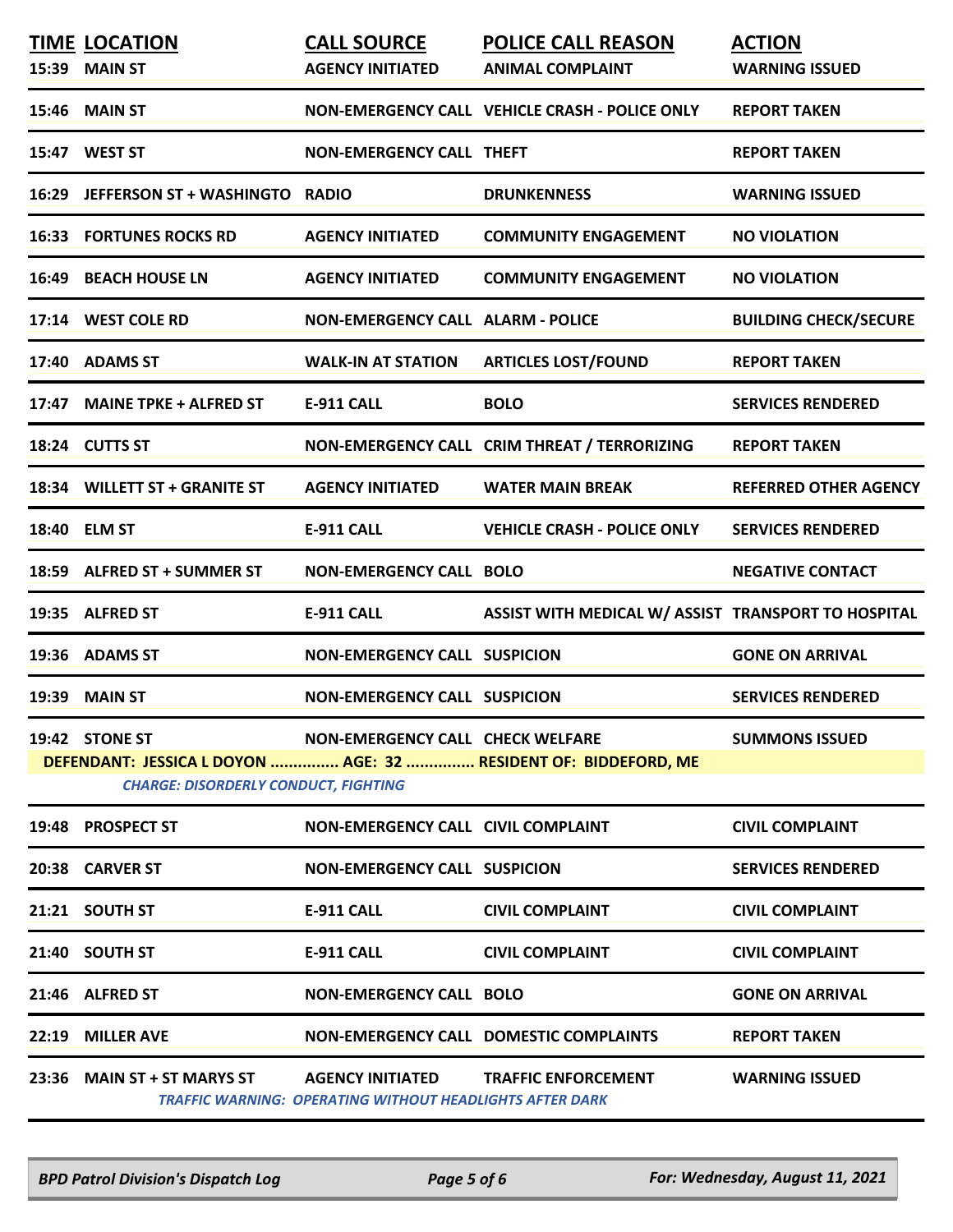|       | <b>TIME LOCATION</b><br>15:39 MAIN ST       | <b>CALL SOURCE</b><br><b>AGENCY INITIATED</b>                                              | <b>POLICE CALL REASON</b><br><b>ANIMAL COMPLAINT</b>            | <b>ACTION</b><br><b>WARNING ISSUED</b> |
|-------|---------------------------------------------|--------------------------------------------------------------------------------------------|-----------------------------------------------------------------|----------------------------------------|
|       | <b>15:46 MAIN ST</b>                        |                                                                                            | NON-EMERGENCY CALL VEHICLE CRASH - POLICE ONLY                  | <b>REPORT TAKEN</b>                    |
|       | 15:47 WEST ST                               | <b>NON-EMERGENCY CALL THEFT</b>                                                            |                                                                 | <b>REPORT TAKEN</b>                    |
| 16:29 | JEFFERSON ST + WASHINGTO RADIO              |                                                                                            | <b>DRUNKENNESS</b>                                              | <b>WARNING ISSUED</b>                  |
|       | <b>16:33 FORTUNES ROCKS RD</b>              | <b>AGENCY INITIATED</b>                                                                    | <b>COMMUNITY ENGAGEMENT</b>                                     | <b>NO VIOLATION</b>                    |
|       | <b>16:49 BEACH HOUSE LN</b>                 | <b>AGENCY INITIATED</b>                                                                    | <b>COMMUNITY ENGAGEMENT</b>                                     | <b>NO VIOLATION</b>                    |
|       | 17:14 WEST COLE RD                          | <b>NON-EMERGENCY CALL ALARM - POLICE</b>                                                   |                                                                 | <b>BUILDING CHECK/SECURE</b>           |
|       | 17:40 ADAMS ST                              | <b>WALK-IN AT STATION</b>                                                                  | <b>ARTICLES LOST/FOUND</b>                                      | <b>REPORT TAKEN</b>                    |
|       | 17:47 MAINE TPKE + ALFRED ST                | <b>E-911 CALL</b>                                                                          | <b>BOLO</b>                                                     | <b>SERVICES RENDERED</b>               |
|       | 18:24 CUTTS ST                              |                                                                                            | NON-EMERGENCY CALL CRIM THREAT / TERRORIZING                    | <b>REPORT TAKEN</b>                    |
|       | 18:34 WILLETT ST + GRANITE ST               | <b>AGENCY INITIATED</b>                                                                    | <b>WATER MAIN BREAK</b>                                         | <b>REFERRED OTHER AGENCY</b>           |
|       | 18:40 ELM ST                                | E-911 CALL                                                                                 | <b>VEHICLE CRASH - POLICE ONLY</b>                              | <b>SERVICES RENDERED</b>               |
|       | 18:59 ALFRED ST + SUMMER ST                 | <b>NON-EMERGENCY CALL BOLO</b>                                                             |                                                                 | <b>NEGATIVE CONTACT</b>                |
|       | 19:35 ALFRED ST                             | <b>E-911 CALL</b>                                                                          | ASSIST WITH MEDICAL W/ ASSIST TRANSPORT TO HOSPITAL             |                                        |
|       | 19:36 ADAMS ST                              | <b>NON-EMERGENCY CALL SUSPICION</b>                                                        |                                                                 | <b>GONE ON ARRIVAL</b>                 |
|       | 19:39 MAIN ST                               | <b>NON-EMERGENCY CALL SUSPICION</b>                                                        |                                                                 | <b>SERVICES RENDERED</b>               |
|       | 19:42 STONE ST                              | NON-EMERGENCY CALL CHECK WELFARE                                                           |                                                                 | <b>SUMMONS ISSUED</b>                  |
|       | <b>CHARGE: DISORDERLY CONDUCT, FIGHTING</b> |                                                                                            | DEFENDANT: JESSICA L DOYON  AGE: 32  RESIDENT OF: BIDDEFORD, ME |                                        |
|       | 19:48 PROSPECT ST                           | NON-EMERGENCY CALL CIVIL COMPLAINT                                                         |                                                                 | <b>CIVIL COMPLAINT</b>                 |
|       | 20:38 CARVER ST                             | <b>NON-EMERGENCY CALL SUSPICION</b>                                                        |                                                                 | <b>SERVICES RENDERED</b>               |
|       | 21:21 SOUTH ST                              | <b>E-911 CALL</b>                                                                          | <b>CIVIL COMPLAINT</b>                                          | <b>CIVIL COMPLAINT</b>                 |
|       | 21:40 SOUTH ST                              | <b>E-911 CALL</b>                                                                          | <b>CIVIL COMPLAINT</b>                                          | <b>CIVIL COMPLAINT</b>                 |
|       | 21:46 ALFRED ST                             | <b>NON-EMERGENCY CALL BOLO</b>                                                             |                                                                 | <b>GONE ON ARRIVAL</b>                 |
|       | 22:19 MILLER AVE                            |                                                                                            | <b>NON-EMERGENCY CALL DOMESTIC COMPLAINTS</b>                   | <b>REPORT TAKEN</b>                    |
|       | 23:36 MAIN ST + ST MARYS ST                 | <b>AGENCY INITIATED</b><br><b>TRAFFIC WARNING: OPERATING WITHOUT HEADLIGHTS AFTER DARK</b> | <b>TRAFFIC ENFORCEMENT</b>                                      | <b>WARNING ISSUED</b>                  |